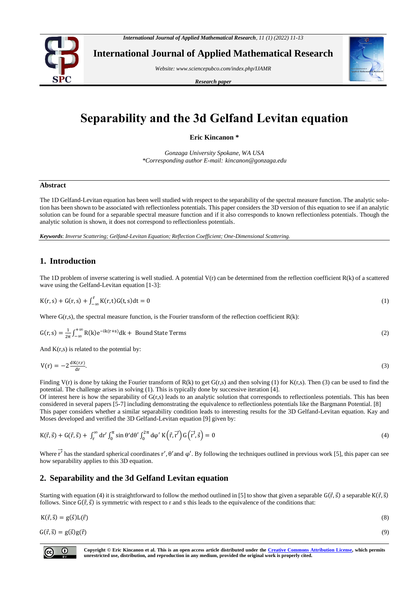

**International Journal of Applied Mathematical Research**

*Website[: www.sciencepubco.com/index.php/IJAMR](http://www.sciencepubco.com/index.php/IJAMR)*

*Research paper*



# **Separability and the 3d Gelfand Levitan equation**

**Eric Kincanon \***

*Gonzaga University Spokane, WA USA \*Corresponding author E-mail: kincanon@gonzaga.edu*

#### **Abstract**

The 1D Gelfand-Levitan equation has been well studied with respect to the separability of the spectral measure function. The analytic solution has been shown to be associated with reflectionless potentials. This paper considers the 3D version of this equation to see if an analytic solution can be found for a separable spectral measure function and if it also corresponds to known reflectionless potentials. Though the analytic solution is shown, it does not correspond to reflectionless potentials.

*Keywords*: *Inverse Scattering; Gelfand-Levitan Equation; Reflection Coefficient; One-Dimensional Scattering.*

## **1. Introduction**

The 1D problem of inverse scattering is well studied. A potential  $V(r)$  can be determined from the reflection coefficient  $R(k)$  of a scattered wave using the Gelfand-Levitan equation [1-3]:

$$
K(r,s) + G(r,s) + \int_{-\infty}^{r} K(r,t)G(t,s)dt = 0
$$
\n(1)

Where  $G(r,s)$ , the spectral measure function, is the Fourier transform of the reflection coefficient  $R(k)$ :

$$
G(r,s) = \frac{1}{2\pi} \int_{-\infty}^{+\infty} R(k)e^{-ik(r+s)}dk + \text{Bound State Terms}
$$
 (2)

And  $K(r,s)$  is related to the potential by:

$$
V(r) = -2 \frac{dK(r,r)}{dr}.
$$

Finding V(r) is done by taking the Fourier transform of R(k) to get G(r,s) and then solving (1) for K(r,s). Then (3) can be used to find the potential. The challenge arises in solving (1). This is typically done by successive iteration [4].

Of interest here is how the separability of G(r,s) leads to an analytic solution that corresponds to reflectionless potentials. This has been considered in several papers [5-7] including demonstrating the equivalence to reflectionless potentials like the Bargmann Potential. [8] This paper considers whether a similar separability condition leads to interesting results for the 3D Gelfand-Levitan equation. Kay and Moses developed and verified the 3D Gelfand-Levitan equation [9] given by:

$$
K(\vec{r},\vec{s}) + G(\vec{r},\vec{s}) + \int_{r}^{\infty} dr' \int_{0}^{\pi} \sin \theta' d\theta' \int_{0}^{2\pi} d\phi' K(\vec{r},\vec{r'}) G(\vec{r'},\vec{s}) = 0
$$
\n(4)

Where  $\vec{r'}$  has the standard spherical coordinates r',  $\theta'$  and  $\varphi'$ . By following the techniques outlined in previous work [5], this paper can see how separability applies to this 3D equation.

## **2. Separability and the 3d Gelfand Levitan equation**

Starting with equation (4) it is straightforward to follow the method outlined in [5] to show that given a separable  $G(\vec{r}, \vec{s})$  a separable  $K(\vec{r}, \vec{s})$ follows. Since  $G(\vec{r}, \vec{s})$  is symmetric with respect to r and s this leads to the equivalence of the conditions that:

$$
K(\vec{r},\vec{s}) = g(\vec{s})L(\vec{r})
$$
\n(8)

 $G(\vec{r}, \vec{s}) = g(\vec{s})g(\vec{r})$  (9)

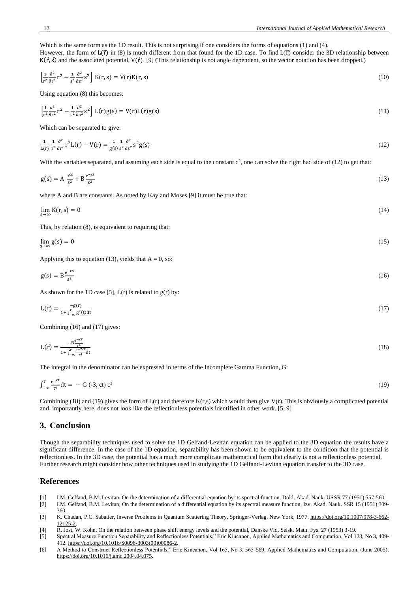Which is the same form as the 1D result. This is not surprising if one considers the forms of equations (1) and (4). However, the form of  $L(\vec{r})$  in (8) is much different from that found for the 1D case. To find  $L(\vec{r})$  consider the 3D relationship between  $K(\vec{r}, \vec{s})$  and the associated potential,  $V(\vec{r})$ . [9] (This relationship is not angle dependent, so the vector notation has been dropped.)

$$
\left[\frac{1}{r^2}\frac{\partial^2}{\partial r^2}r^2 - \frac{1}{s^2}\frac{\partial^2}{\partial s^2}s^2\right]K(r,s) = V(r)K(r,s)
$$
\n(10)

Using equation (8) this becomes:

$$
\left[\frac{1}{r^2}\frac{\partial^2}{\partial r^2}r^2 - \frac{1}{s^2}\frac{\partial^2}{\partial s^2}s^2\right]L(r)g(s) = V(r)L(r)g(s)
$$
\n(11)

Which can be separated to give:

$$
\frac{1}{L(r)}\frac{1}{r^2}\frac{\partial^2}{\partial r^2}r^2L(r) - V(r) = \frac{1}{g(s)}\frac{1}{s^2}\frac{\partial^2}{\partial s^2}S^2g(s)
$$
\n(12)

With the variables separated, and assuming each side is equal to the constant  $c^2$ , one can solve the right had side of (12) to get that:

$$
g(s) = A \frac{e^{cs}}{s^2} + B \frac{e^{-cs}}{s^2}
$$
 (13)

where A and B are constants. As noted by Kay and Moses [9] it must be true that:

$$
\lim_{s \to \infty} K(r, s) = 0 \tag{14}
$$

This, by relation (8), is equivalent to requiring that:

$$
\lim_{s \to \infty} g(s) = 0 \tag{15}
$$

Applying this to equation (13), yields that  $A = 0$ , so:

$$
g(s) = B \frac{e^{-cs}}{s^2} \tag{16}
$$

As shown for the 1D case [5],  $L(r)$  is related to  $g(r)$  by:

$$
L(r) = \frac{-g(r)}{1 + \int_{-\infty}^{r} g^2(t)dt}
$$
(17)

Combining (16) and (17) gives:

$$
L(r) = \frac{-B^{\frac{e^{-cr}}{r^2}}}{1 + \int_{-\infty}^r \frac{e^{-2ct}}{t^4} dt}
$$
(18)

The integral in the denominator can be expressed in terms of the Incomplete Gamma Function, G:

$$
\int_{-\infty}^{r} \frac{e^{-ct}}{t^4} dt = -G(-3, ct) c^3
$$
 (19)

Combining (18) and (19) gives the form of  $L(r)$  and therefore  $K(r,s)$  which would then give  $V(r)$ . This is obviously a complicated potential and, importantly here, does not look like the reflectionless potentials identified in other work. [5, 9]

### **3. Conclusion**

Though the separability techniques used to solve the 1D Gelfand-Levitan equation can be applied to the 3D equation the results have a significant difference. In the case of the 1D equation, separability has been shown to be equivalent to the condition that the potential is reflectionless. In the 3D case, the potential has a much more complicate mathematical form that clearly is not a reflectionless potential. Further research might consider how other techniques used in studying the 1D Gelfand-Levitan equation transfer to the 3D case.

#### **References**

- [1] I.M. Gelfand, B.M. Levitan, On the determination of a differential equation by its spectral function, Dokl. Akad. Nauk. USSR 77 (1951) 557-560.
- [2] I.M. Gelfand, B.M. Levitan, On the determination of a differential equation by its spectral measure function, Izv. Akad. Nauk. SSR 15 (1951) 309- 360.
- [3] K. Chadan, P.C. Sabatier, Inverse Problems in Quantum Scattering Theory, Springer-Verlag, New York, 1977[. https://doi.org/10.1007/978-3-662-](https://doi.org/10.1007/978-3-662-12125-2) [12125-2.](https://doi.org/10.1007/978-3-662-12125-2)
- [4] R. Jost, W. Kohn, On the relation between phase shift energy levels and the potential, Danske Vid. Selsk. Math. Fys. 27 (1953) 3-19.
- [5] Spectral Measure Function Separability and Reflectionless Potentials," Eric Kincanon, Applied Mathematics and Computation, Vol 123, No 3, 409- 412. [https://doi.org/10.1016/S0096-3003\(00\)00086-2.](https://doi.org/10.1016/S0096-3003(00)00086-2)
- [6] A Method to Construct Reflectionless Potentials," Eric Kincanon, Vol 165, No 3, 565-569, Applied Mathematics and Computation, (June 2005). [https://doi.org/10.1016/j.amc.2004.04.075.](https://doi.org/10.1016/j.amc.2004.04.075)